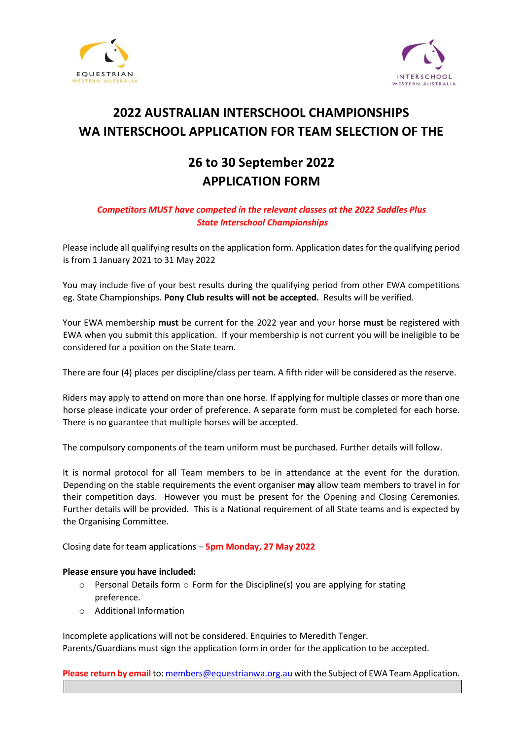



### **2022 AUSTRALIAN INTERSCHOOL CHAMPIONSHIPS WA INTERSCHOOL APPLICATION FOR TEAM SELECTION OF THE**

### **26 to 30 September 2022 APPLICATION FORM**

### *Competitors MUST have competed in the relevant classes at the 2022 Saddles Plus State Interschool Championships*

Please include all qualifying results on the application form. Application dates for the qualifying period is from 1 January 2021 to 31 May 2022

You may include five of your best results during the qualifying period from other EWA competitions eg. State Championships. **Pony Club results will not be accepted.** Results will be verified.

Your EWA membership **must** be current for the 2022 year and your horse **must** be registered with EWA when you submit this application. If your membership is not current you will be ineligible to be considered for a position on the State team.

There are four (4) places per discipline/class per team. A fifth rider will be considered as the reserve.

Riders may apply to attend on more than one horse. If applying for multiple classes or more than one horse please indicate your order of preference. A separate form must be completed for each horse. There is no guarantee that multiple horses will be accepted.

The compulsory components of the team uniform must be purchased. Further details will follow.

It is normal protocol for all Team members to be in attendance at the event for the duration. Depending on the stable requirements the event organiser **may** allow team members to travel in for their competition days. However you must be present for the Opening and Closing Ceremonies. Further details will be provided. This is a National requirement of all State teams and is expected by the Organising Committee.

Closing date for team applications – **5pm Monday, 27 May 2022**

#### **Please ensure you have included:**

- $\circ$  Personal Details form  $\circ$  Form for the Discipline(s) you are applying for stating preference.
- o Additional Information

Incomplete applications will not be considered. Enquiries to Meredith Tenger. Parents/Guardians must sign the application form in order for the application to be accepted.

**Please return by email** to: members@equestrianwa.org.au with the Subject of EWA Team Application.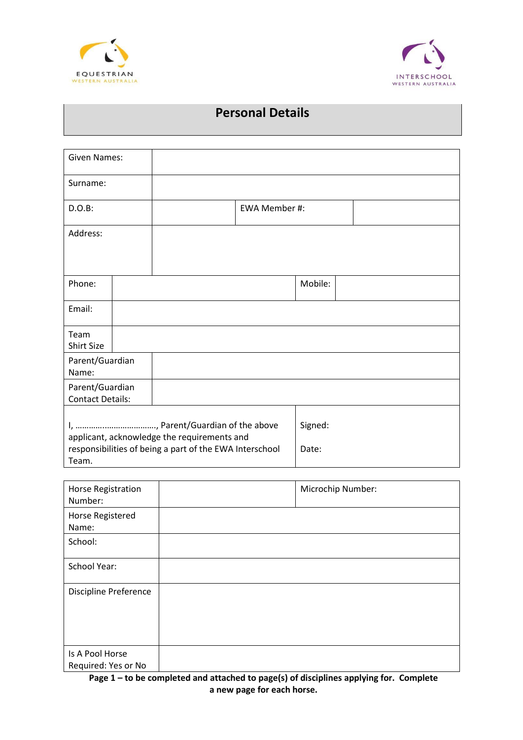



### **Personal Details**

| <b>Given Names:</b>                                                                                                                                  |  |  |                  |         |  |
|------------------------------------------------------------------------------------------------------------------------------------------------------|--|--|------------------|---------|--|
| Surname:                                                                                                                                             |  |  |                  |         |  |
| D.O.B:                                                                                                                                               |  |  | EWA Member #:    |         |  |
| Address:                                                                                                                                             |  |  |                  |         |  |
|                                                                                                                                                      |  |  |                  |         |  |
| Phone:                                                                                                                                               |  |  |                  | Mobile: |  |
| Email:                                                                                                                                               |  |  |                  |         |  |
| Team<br><b>Shirt Size</b>                                                                                                                            |  |  |                  |         |  |
| Parent/Guardian<br>Name:                                                                                                                             |  |  |                  |         |  |
| Parent/Guardian<br><b>Contact Details:</b>                                                                                                           |  |  |                  |         |  |
| I, , Parent/Guardian of the above<br>applicant, acknowledge the requirements and<br>responsibilities of being a part of the EWA Interschool<br>Team. |  |  | Signed:<br>Date: |         |  |

| Horse Registration<br>Number:          | Microchip Number: |
|----------------------------------------|-------------------|
| Horse Registered<br>Name:              |                   |
| School:                                |                   |
| <b>School Year:</b>                    |                   |
| <b>Discipline Preference</b>           |                   |
| Is A Pool Horse<br>Required: Yes or No |                   |

**Page 1 – to be completed and attached to page(s) of disciplines applying for. Complete a new page for each horse.**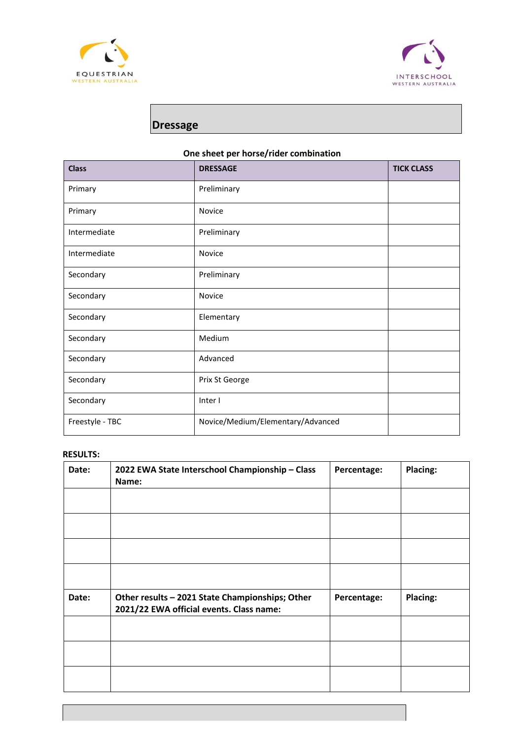



## **Dressage**

### **One sheet per horse/rider combination**

| <b>Class</b>    | <b>DRESSAGE</b>                   | <b>TICK CLASS</b> |
|-----------------|-----------------------------------|-------------------|
| Primary         | Preliminary                       |                   |
| Primary         | Novice                            |                   |
| Intermediate    | Preliminary                       |                   |
| Intermediate    | Novice                            |                   |
| Secondary       | Preliminary                       |                   |
| Secondary       | <b>Novice</b>                     |                   |
| Secondary       | Elementary                        |                   |
| Secondary       | Medium                            |                   |
| Secondary       | Advanced                          |                   |
| Secondary       | Prix St George                    |                   |
| Secondary       | Inter I                           |                   |
| Freestyle - TBC | Novice/Medium/Elementary/Advanced |                   |

| Date: | 2022 EWA State Interschool Championship - Class<br>Name:                                    | Percentage: | <b>Placing:</b> |
|-------|---------------------------------------------------------------------------------------------|-------------|-----------------|
|       |                                                                                             |             |                 |
|       |                                                                                             |             |                 |
|       |                                                                                             |             |                 |
|       |                                                                                             |             |                 |
| Date: | Other results - 2021 State Championships; Other<br>2021/22 EWA official events. Class name: | Percentage: | Placing:        |
|       |                                                                                             |             |                 |
|       |                                                                                             |             |                 |
|       |                                                                                             |             |                 |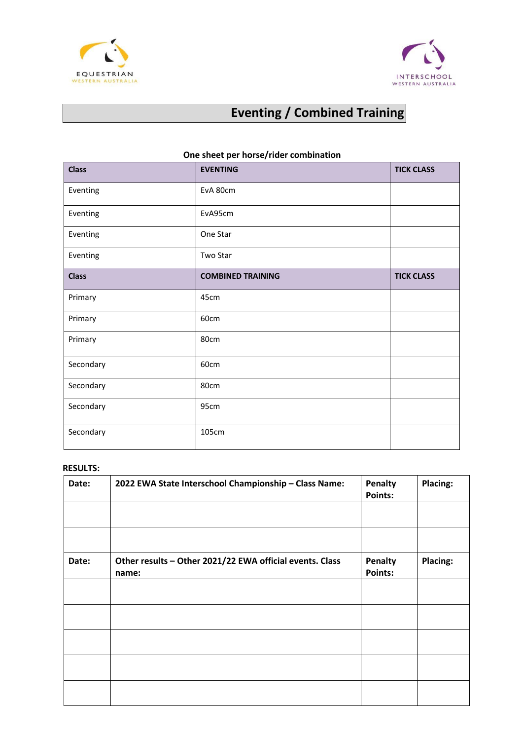



# **Eventing / Combined Training**

| <b>Class</b> | <b>EVENTING</b>          | <b>TICK CLASS</b> |  |
|--------------|--------------------------|-------------------|--|
| Eventing     | EvA 80cm                 |                   |  |
| Eventing     | EvA95cm                  |                   |  |
| Eventing     | One Star                 |                   |  |
| Eventing     | Two Star                 |                   |  |
| <b>Class</b> | <b>COMBINED TRAINING</b> | <b>TICK CLASS</b> |  |
| Primary      | 45cm                     |                   |  |
| Primary      | 60cm                     |                   |  |
| Primary      | 80cm                     |                   |  |
| Secondary    | 60cm                     |                   |  |
| Secondary    | 80cm                     |                   |  |
| Secondary    | 95cm                     |                   |  |
| Secondary    | 105cm                    |                   |  |

### **One sheet per horse/rider combination**

| Date: | 2022 EWA State Interschool Championship - Class Name:             | <b>Penalty</b><br>Points: | Placing: |
|-------|-------------------------------------------------------------------|---------------------------|----------|
|       |                                                                   |                           |          |
| Date: | Other results - Other 2021/22 EWA official events. Class<br>name: | Penalty<br>Points:        | Placing: |
|       |                                                                   |                           |          |
|       |                                                                   |                           |          |
|       |                                                                   |                           |          |
|       |                                                                   |                           |          |
|       |                                                                   |                           |          |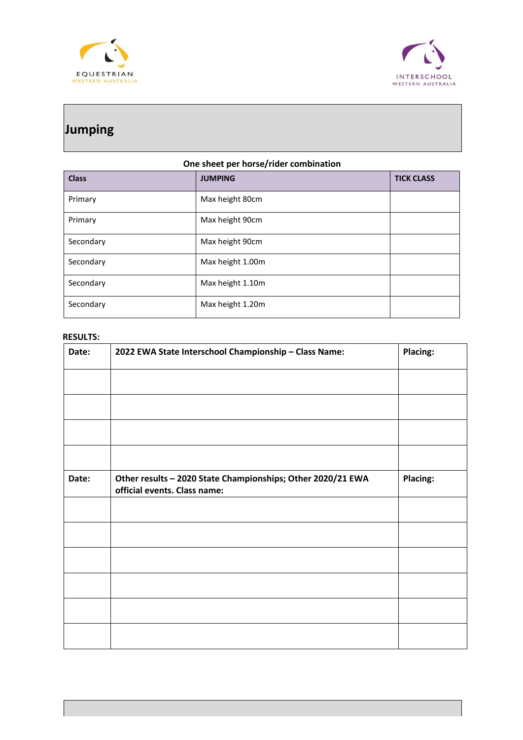



## **Jumping**

### **One sheet per horse/rider combination**

| <b>Class</b> | <b>JUMPING</b>   | <b>TICK CLASS</b> |
|--------------|------------------|-------------------|
| Primary      | Max height 80cm  |                   |
| Primary      | Max height 90cm  |                   |
| Secondary    | Max height 90cm  |                   |
| Secondary    | Max height 1.00m |                   |
| Secondary    | Max height 1.10m |                   |
| Secondary    | Max height 1.20m |                   |

| Date: | 2022 EWA State Interschool Championship - Class Name:                                       | <b>Placing:</b> |
|-------|---------------------------------------------------------------------------------------------|-----------------|
|       |                                                                                             |                 |
|       |                                                                                             |                 |
|       |                                                                                             |                 |
|       |                                                                                             |                 |
| Date: | Other results - 2020 State Championships; Other 2020/21 EWA<br>official events. Class name: | <b>Placing:</b> |
|       |                                                                                             |                 |
|       |                                                                                             |                 |
|       |                                                                                             |                 |
|       |                                                                                             |                 |
|       |                                                                                             |                 |
|       |                                                                                             |                 |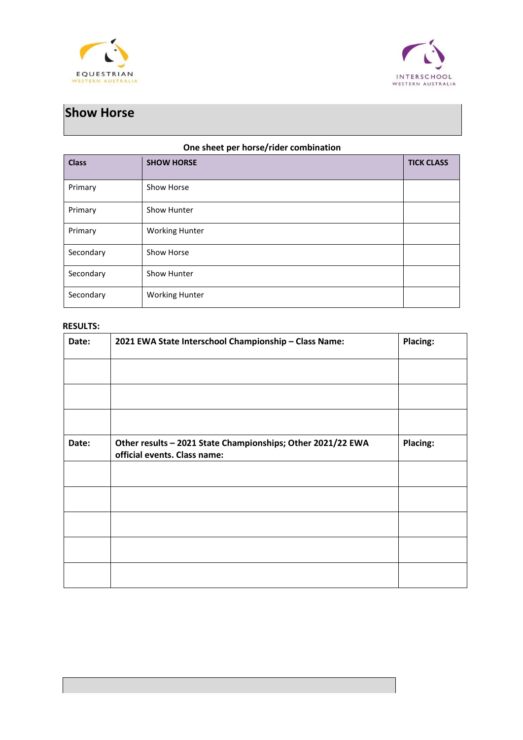



## **Show Horse**

#### **One sheet per horse/rider combination**

| <b>Class</b> | <b>SHOW HORSE</b>     | <b>TICK CLASS</b> |
|--------------|-----------------------|-------------------|
| Primary      | Show Horse            |                   |
| Primary      | Show Hunter           |                   |
| Primary      | <b>Working Hunter</b> |                   |
| Secondary    | Show Horse            |                   |
| Secondary    | Show Hunter           |                   |
| Secondary    | <b>Working Hunter</b> |                   |

| Date: | 2021 EWA State Interschool Championship - Class Name:                                       | Placing: |
|-------|---------------------------------------------------------------------------------------------|----------|
|       |                                                                                             |          |
|       |                                                                                             |          |
|       |                                                                                             |          |
| Date: | Other results - 2021 State Championships; Other 2021/22 EWA<br>official events. Class name: | Placing: |
|       |                                                                                             |          |
|       |                                                                                             |          |
|       |                                                                                             |          |
|       |                                                                                             |          |
|       |                                                                                             |          |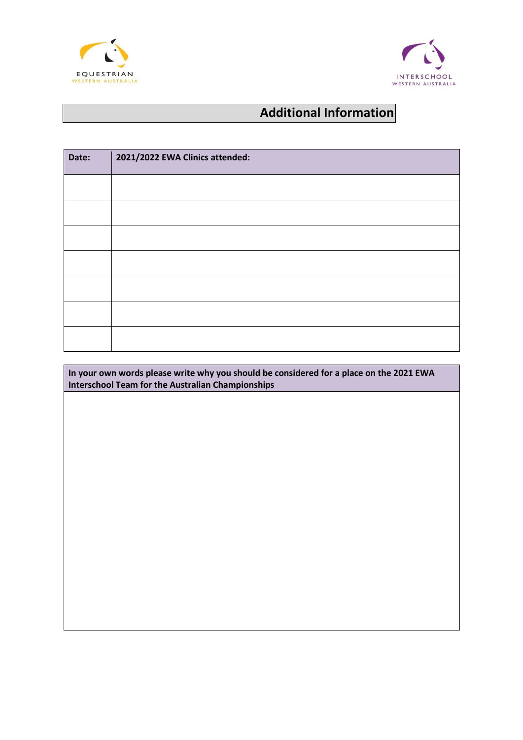



## **Additional Information**

| Date: | 2021/2022 EWA Clinics attended: |
|-------|---------------------------------|
|       |                                 |
|       |                                 |
|       |                                 |
|       |                                 |
|       |                                 |
|       |                                 |
|       |                                 |

**In your own words please write why you should be considered for a place on the 2021 EWA Interschool Team for the Australian Championships**